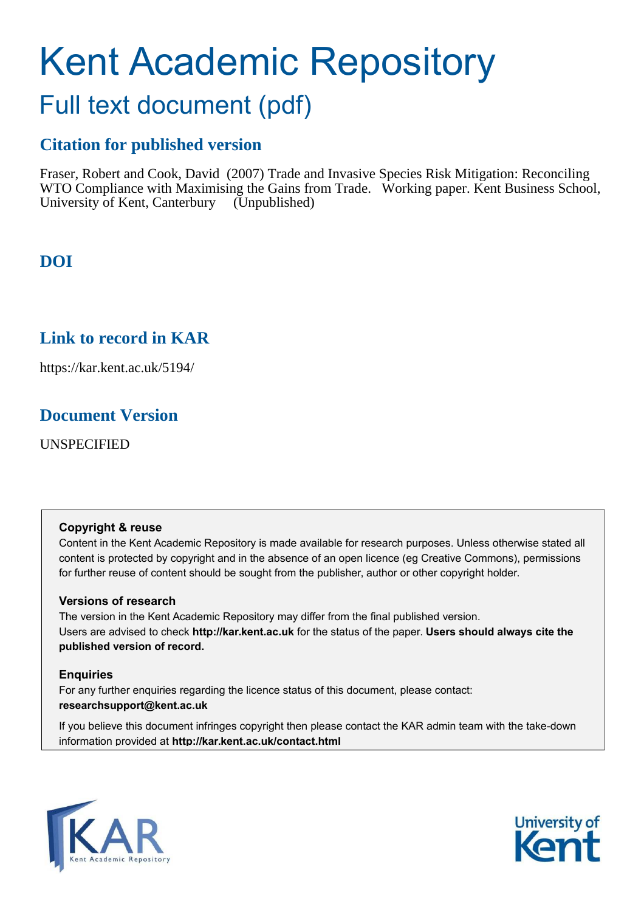# Kent Academic Repository

## Full text document (pdf)

## **Citation for published version**

Fraser, Robert and Cook, David (2007) Trade and Invasive Species Risk Mitigation: Reconciling WTO Compliance with Maximising the Gains from Trade. Working paper. Kent Business School, University of Kent, Canterbury (Unpublished)

## **DOI**

## **Link to record in KAR**

https://kar.kent.ac.uk/5194/

### **Document Version**

UNSPECIFIED

### **Copyright & reuse**

Content in the Kent Academic Repository is made available for research purposes. Unless otherwise stated all content is protected by copyright and in the absence of an open licence (eg Creative Commons), permissions for further reuse of content should be sought from the publisher, author or other copyright holder.

### **Versions of research**

The version in the Kent Academic Repository may differ from the final published version. Users are advised to check **http://kar.kent.ac.uk** for the status of the paper. **Users should always cite the published version of record.**

### **Enquiries**

For any further enquiries regarding the licence status of this document, please contact: **researchsupport@kent.ac.uk**

If you believe this document infringes copyright then please contact the KAR admin team with the take-down information provided at **http://kar.kent.ac.uk/contact.html**



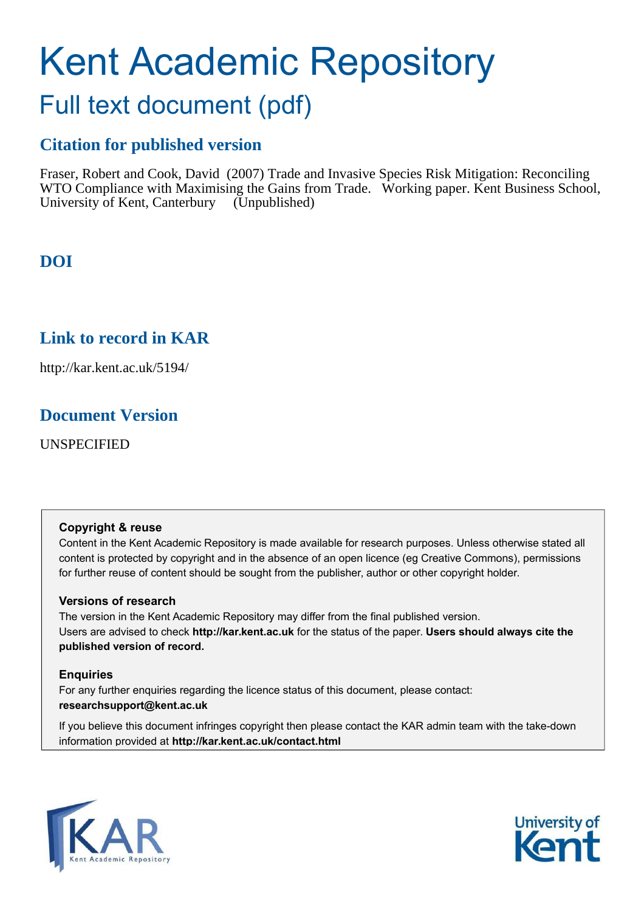# Kent Academic Repository

## Full text document (pdf)

## **Citation for published version**

Fraser, Robert and Cook, David (2007) Trade and Invasive Species Risk Mitigation: Reconciling WTO Compliance with Maximising the Gains from Trade. Working paper. Kent Business School, University of Kent, Canterbury (Unpublished)

## **DOI**

## **Link to record in KAR**

http://kar.kent.ac.uk/5194/

### **Document Version**

UNSPECIFIED

### **Copyright & reuse**

Content in the Kent Academic Repository is made available for research purposes. Unless otherwise stated all content is protected by copyright and in the absence of an open licence (eg Creative Commons), permissions for further reuse of content should be sought from the publisher, author or other copyright holder.

### **Versions of research**

The version in the Kent Academic Repository may differ from the final published version. Users are advised to check **http://kar.kent.ac.uk** for the status of the paper. **Users should always cite the published version of record.**

### **Enquiries**

For any further enquiries regarding the licence status of this document, please contact: **researchsupport@kent.ac.uk**

If you believe this document infringes copyright then please contact the KAR admin team with the take-down information provided at **http://kar.kent.ac.uk/contact.html**



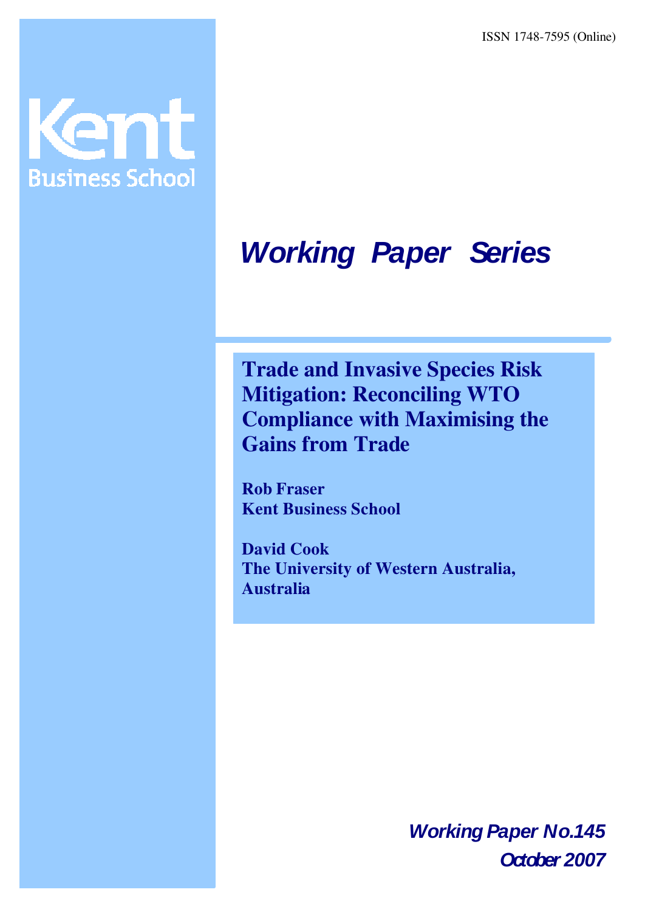ISSN 1748-7595 (Online)



## **Working Paper Series**

**Trade and Invasive Species Risk Mitigation: Reconciling WTO Compliance with Maximising the Gains from Trade**

**Rob Fraser Kent Business School**

**David Cook The University of Western Australia, Australia**

> 1 **Working Paper No.145 October 2007**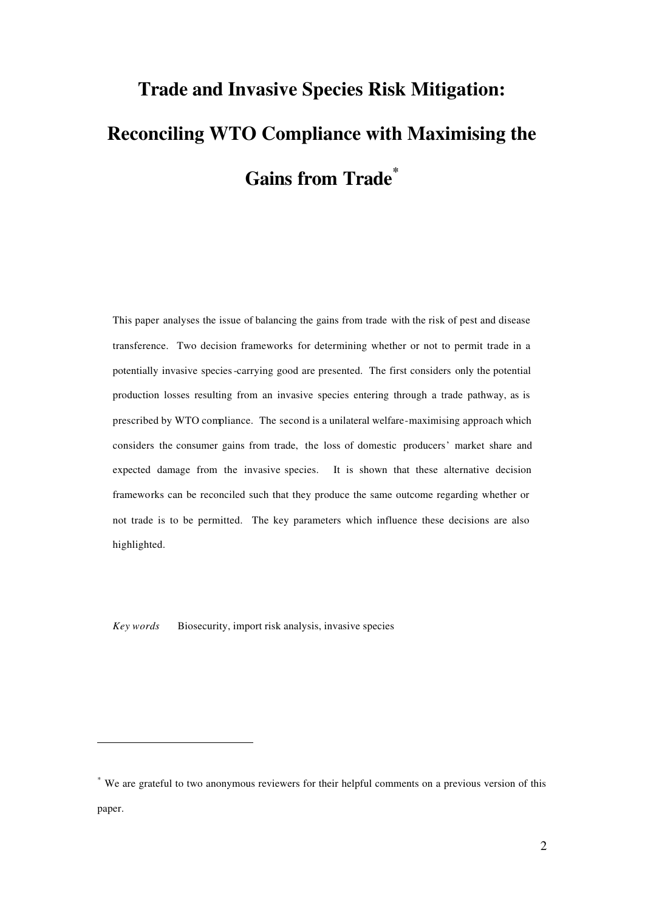## **Trade and Invasive Species Risk Mitigation: Reconciling WTO Compliance with Maximising the Gains from Trade\***

This paper analyses the issue of balancing the gains from trade with the risk of pest and disease transference. Two decision frameworks for determining whether or not to permit trade in a potentially invasive species-carrying good are presented. The first considers only the potential production losses resulting from an invasive species entering through a trade pathway, as is prescribed by WTO compliance. The second is a unilateral welfare-maximising approach which considers the consumer gains from trade, the loss of domestic producers' market share and expected damage from the invasive species. It is shown that these alternative decision frameworks can be reconciled such that they produce the same outcome regarding whether or not trade is to be permitted. The key parameters which influence these decisions are also highlighted.

*Key words* Biosecurity, import risk analysis, invasive species

<sup>\*</sup> We are grateful to two anonymous reviewers for their helpful comments on a previous version of this paper.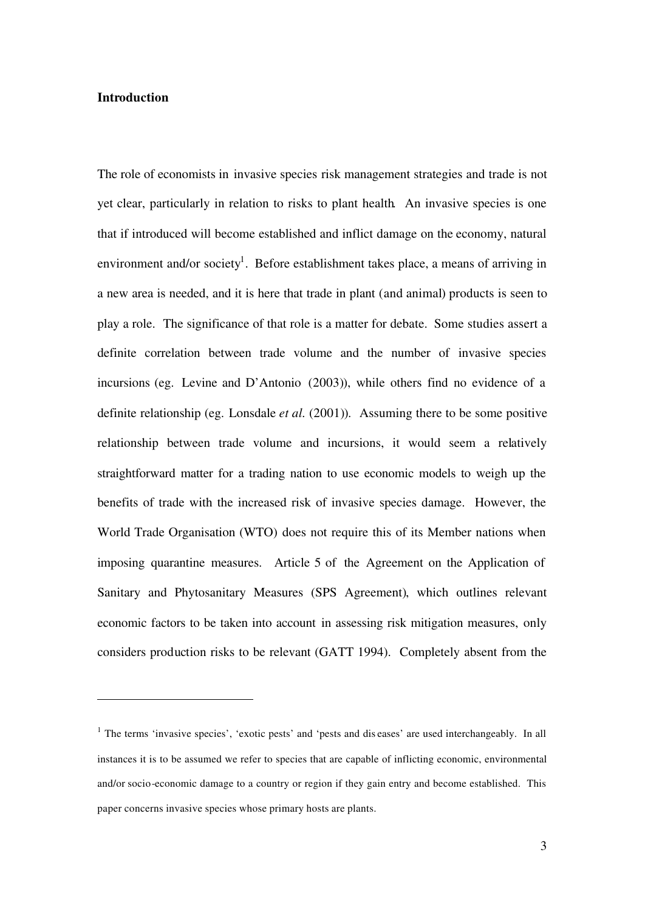### **Introduction**

 $\overline{a}$ 

The role of economists in invasive species risk management strategies and trade is not yet clear, particularly in relation to risks to plant health. An invasive species is one that if introduced will become established and inflict damage on the economy, natural environment and/or society<sup>1</sup>. Before establishment takes place, a means of arriving in a new area is needed, and it is here that trade in plant (and animal) products is seen to play a role. The significance of that role is a matter for debate. Some studies assert a definite correlation between trade volume and the number of invasive species incursions (eg. Levine and D'Antonio (2003)), while others find no evidence of a definite relationship (eg. Lonsdale *et al.* (2001)). Assuming there to be some positive relationship between trade volume and incursions, it would seem a relatively straightforward matter for a trading nation to use economic models to weigh up the benefits of trade with the increased risk of invasive species damage. However, the World Trade Organisation (WTO) does not require this of its Member nations when imposing quarantine measures. Article 5 of the Agreement on the Application of Sanitary and Phytosanitary Measures (SPS Agreement), which outlines relevant economic factors to be taken into account in assessing risk mitigation measures, only considers production risks to be relevant (GATT 1994). Completely absent from the

<sup>&</sup>lt;sup>1</sup> The terms 'invasive species', 'exotic pests' and 'pests and dis eases' are used interchangeably. In all instances it is to be assumed we refer to species that are capable of inflicting economic, environmental and/or socio-economic damage to a country or region if they gain entry and become established. This paper concerns invasive species whose primary hosts are plants.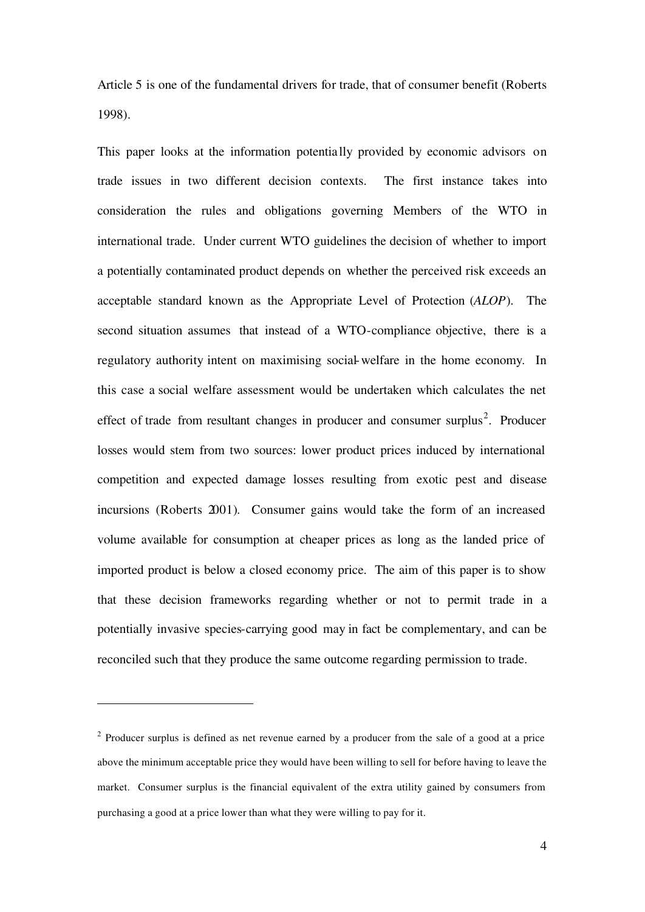Article 5 is one of the fundamental drivers for trade, that of consumer benefit (Roberts 1998).

This paper looks at the information potentia lly provided by economic advisors on trade issues in two different decision contexts. The first instance takes into consideration the rules and obligations governing Members of the WTO in international trade. Under current WTO guidelines the decision of whether to import a potentially contaminated product depends on whether the perceived risk exceeds an acceptable standard known as the Appropriate Level of Protection (*ALOP*). The second situation assumes that instead of a WTO-compliance objective, there is a regulatory authority intent on maximising social-welfare in the home economy. In this case a social welfare assessment would be undertaken which calculates the net effect of trade from resultant changes in producer and consumer surplus<sup>2</sup>. Producer losses would stem from two sources: lower product prices induced by international competition and expected damage losses resulting from exotic pest and disease incursions (Roberts 2001). Consumer gains would take the form of an increased volume available for consumption at cheaper prices as long as the landed price of imported product is below a closed economy price. The aim of this paper is to show that these decision frameworks regarding whether or not to permit trade in a potentially invasive species-carrying good may in fact be complementary, and can be reconciled such that they produce the same outcome regarding permission to trade.

 $2$  Producer surplus is defined as net revenue earned by a producer from the sale of a good at a price above the minimum acceptable price they would have been willing to sell for before having to leave the market. Consumer surplus is the financial equivalent of the extra utility gained by consumers from purchasing a good at a price lower than what they were willing to pay for it.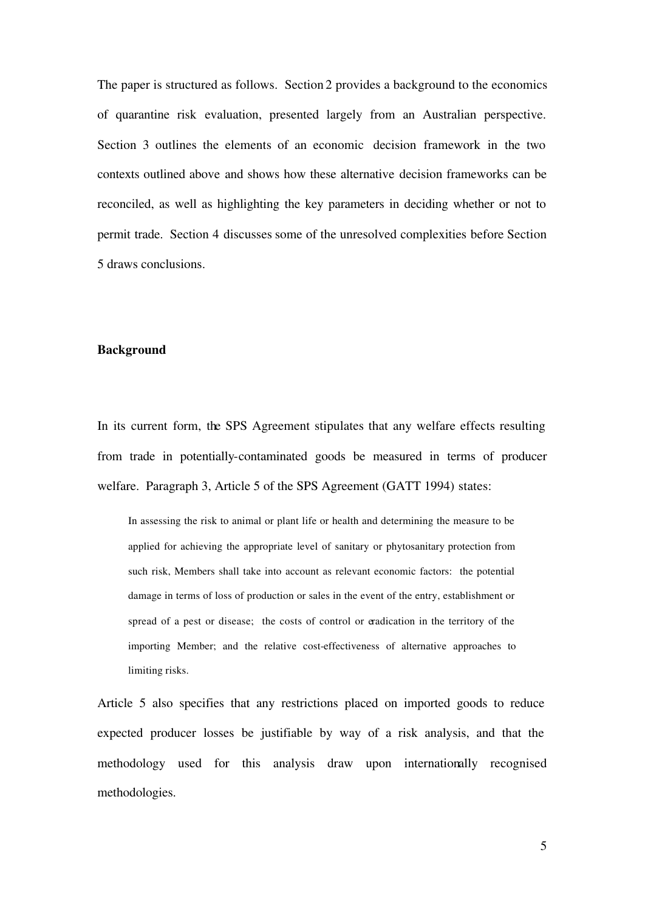The paper is structured as follows. Section 2 provides a background to the economics of quarantine risk evaluation, presented largely from an Australian perspective. Section 3 outlines the elements of an economic decision framework in the two contexts outlined above and shows how these alternative decision frameworks can be reconciled, as well as highlighting the key parameters in deciding whether or not to permit trade. Section 4 discusses some of the unresolved complexities before Section 5 draws conclusions.

### **Background**

In its current form, the SPS Agreement stipulates that any welfare effects resulting from trade in potentially-contaminated goods be measured in terms of producer welfare. Paragraph 3, Article 5 of the SPS Agreement (GATT 1994) states:

In assessing the risk to animal or plant life or health and determining the measure to be applied for achieving the appropriate level of sanitary or phytosanitary protection from such risk, Members shall take into account as relevant economic factors: the potential damage in terms of loss of production or sales in the event of the entry, establishment or spread of a pest or disease; the costs of control or eradication in the territory of the importing Member; and the relative cost-effectiveness of alternative approaches to limiting risks.

Article 5 also specifies that any restrictions placed on imported goods to reduce expected producer losses be justifiable by way of a risk analysis, and that the methodology used for this analysis draw upon internationally recognised methodologies.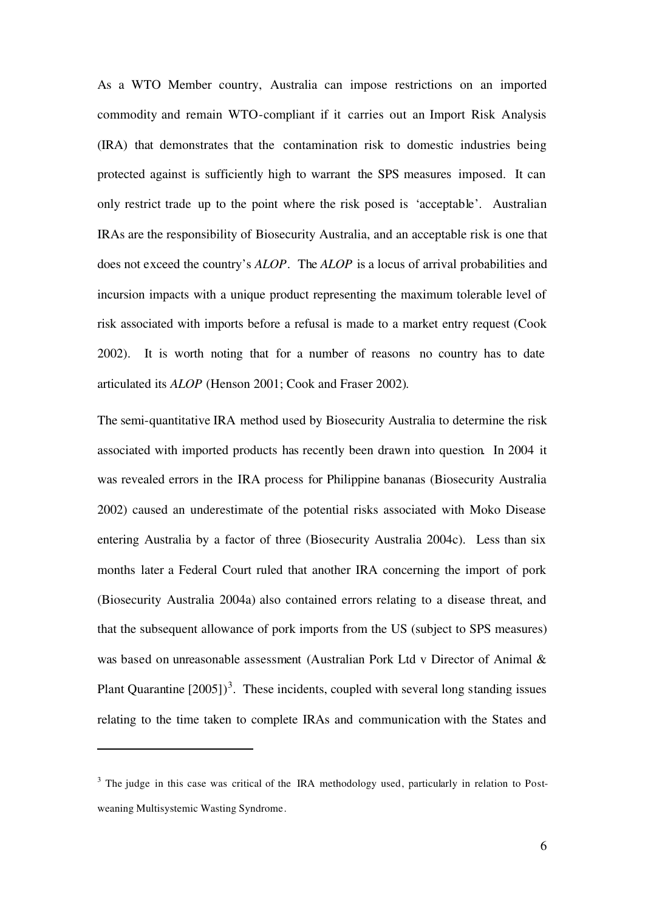As a WTO Member country, Australia can impose restrictions on an imported commodity and remain WTO-compliant if it carries out an Import Risk Analysis (IRA) that demonstrates that the contamination risk to domestic industries being protected against is sufficiently high to warrant the SPS measures imposed. It can only restrict trade up to the point where the risk posed is 'acceptable'. Australian IRAs are the responsibility of Biosecurity Australia, and an acceptable risk is one that does not exceed the country's *ALOP*. The *ALOP* is a locus of arrival probabilities and incursion impacts with a unique product representing the maximum tolerable level of risk associated with imports before a refusal is made to a market entry request (Cook 2002). It is worth noting that for a number of reasons no country has to date articulated its *ALOP* (Henson 2001; Cook and Fraser 2002).

The semi-quantitative IRA method used by Biosecurity Australia to determine the risk associated with imported products has recently been drawn into question. In 2004 it was revealed errors in the IRA process for Philippine bananas (Biosecurity Australia 2002) caused an underestimate of the potential risks associated with Moko Disease entering Australia by a factor of three (Biosecurity Australia 2004c). Less than six months later a Federal Court ruled that another IRA concerning the import of pork (Biosecurity Australia 2004a) also contained errors relating to a disease threat, and that the subsequent allowance of pork imports from the US (subject to SPS measures) was based on unreasonable assessment (Australian Pork Ltd v Director of Animal & Plant Quarantine  $[2005]$ <sup>3</sup>. These incidents, coupled with several long standing issues relating to the time taken to complete IRAs and communication with the States and

 $3$  The judge in this case was critical of the IRA methodology used, particularly in relation to Postweaning Multisystemic Wasting Syndrome.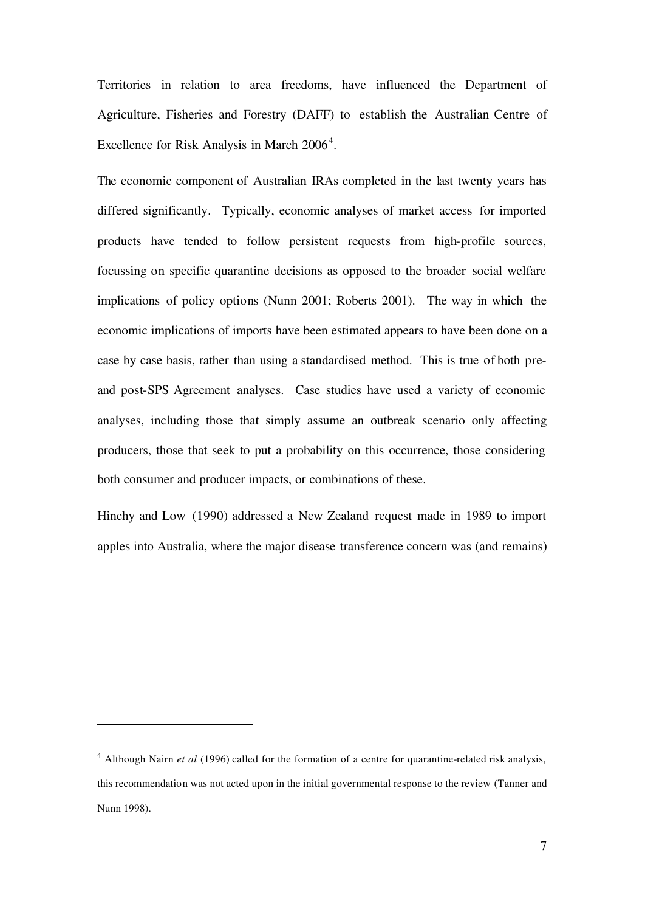Territories in relation to area freedoms, have influenced the Department of Agriculture, Fisheries and Forestry (DAFF) to establish the Australian Centre of Excellence for Risk Analysis in March  $2006<sup>4</sup>$ .

The economic component of Australian IRAs completed in the last twenty years has differed significantly. Typically, economic analyses of market access for imported products have tended to follow persistent requests from high-profile sources, focussing on specific quarantine decisions as opposed to the broader social welfare implications of policy options (Nunn 2001; Roberts 2001). The way in which the economic implications of imports have been estimated appears to have been done on a case by case basis, rather than using a standardised method. This is true of both preand post-SPS Agreement analyses. Case studies have used a variety of economic analyses, including those that simply assume an outbreak scenario only affecting producers, those that seek to put a probability on this occurrence, those considering both consumer and producer impacts, or combinations of these.

Hinchy and Low (1990) addressed a New Zealand request made in 1989 to import apples into Australia, where the major disease transference concern was (and remains)

<sup>&</sup>lt;sup>4</sup> Although Nairn *et al* (1996) called for the formation of a centre for quarantine-related risk analysis, this recommendation was not acted upon in the initial governmental response to the review (Tanner and Nunn 1998).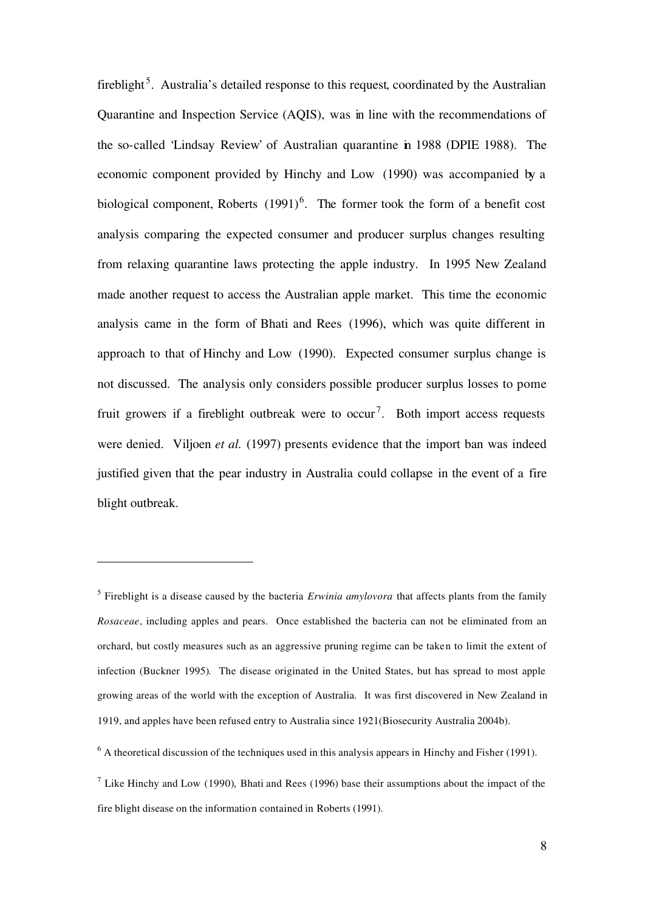fireblight<sup>5</sup>. Australia's detailed response to this request, coordinated by the Australian Quarantine and Inspection Service (AQIS), was in line with the recommendations of the so-called 'Lindsay Review' of Australian quarantine in 1988 (DPIE 1988). The economic component provided by Hinchy and Low (1990) was accompanied by a biological component, Roberts  $(1991)^6$ . The former took the form of a benefit cost analysis comparing the expected consumer and producer surplus changes resulting from relaxing quarantine laws protecting the apple industry. In 1995 New Zealand made another request to access the Australian apple market. This time the economic analysis came in the form of Bhati and Rees (1996), which was quite different in approach to that of Hinchy and Low (1990). Expected consumer surplus change is not discussed. The analysis only considers possible producer surplus losses to pome fruit growers if a fireblight outbreak were to occur<sup>7</sup>. Both import access requests were denied. Viljoen *et al.* (1997) presents evidence that the import ban was indeed justified given that the pear industry in Australia could collapse in the event of a fire blight outbreak.

<sup>5</sup> Fireblight is a disease caused by the bacteria *Erwinia amylovora* that affects plants from the family *Rosaceae*, including apples and pears. Once established the bacteria can not be eliminated from an orchard, but costly measures such as an aggressive pruning regime can be taken to limit the extent of infection (Buckner 1995). The disease originated in the United States, but has spread to most apple growing areas of the world with the exception of Australia. It was first discovered in New Zealand in 1919, and apples have been refused entry to Australia since 1921(Biosecurity Australia 2004b).

 $<sup>6</sup>$  A theoretical discussion of the techniques used in this analysis appears in Hinchy and Fisher (1991).</sup>

<sup>&</sup>lt;sup>7</sup> Like Hinchy and Low (1990), Bhati and Rees (1996) base their assumptions about the impact of the fire blight disease on the information contained in Roberts (1991).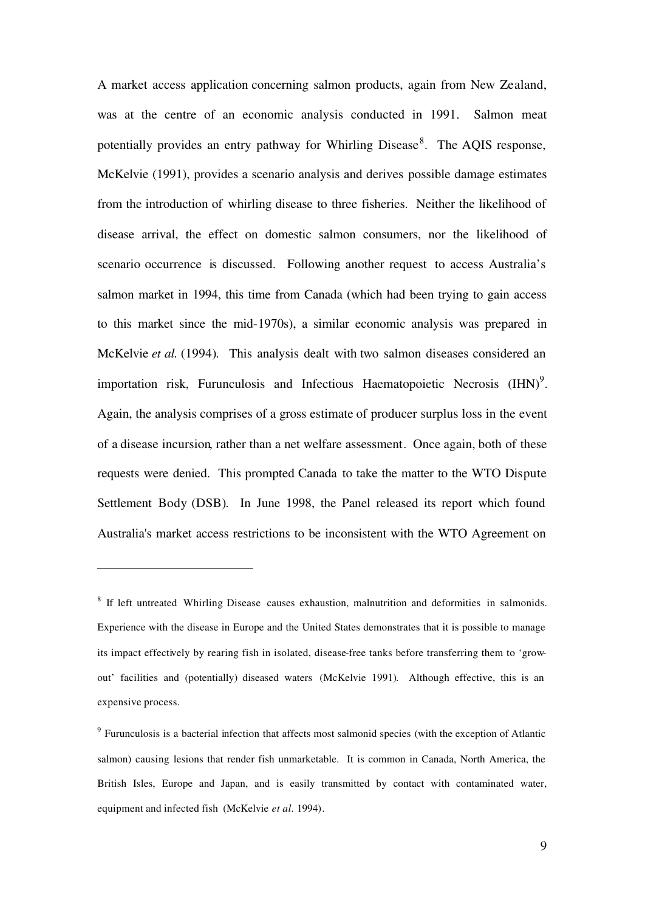A market access application concerning salmon products, again from New Zealand, was at the centre of an economic analysis conducted in 1991. Salmon meat potentially provides an entry pathway for Whirling Disease<sup>8</sup>. The AQIS response, McKelvie (1991), provides a scenario analysis and derives possible damage estimates from the introduction of whirling disease to three fisheries. Neither the likelihood of disease arrival, the effect on domestic salmon consumers, nor the likelihood of scenario occurrence is discussed. Following another request to access Australia's salmon market in 1994, this time from Canada (which had been trying to gain access to this market since the mid-1970s), a similar economic analysis was prepared in McKelvie *et al.* (1994). This analysis dealt with two salmon diseases considered an importation risk, Furunculosis and Infectious Haematopoietic Necrosis  $(HIN)^9$ . Again, the analysis comprises of a gross estimate of producer surplus loss in the event of a disease incursion, rather than a net welfare assessment. Once again, both of these requests were denied. This prompted Canada to take the matter to the WTO Dispute Settlement Body (DSB). In June 1998, the Panel released its report which found Australia's market access restrictions to be inconsistent with the WTO Agreement on

<sup>&</sup>lt;sup>8</sup> If left untreated Whirling Disease causes exhaustion, malnutrition and deformities in salmonids. Experience with the disease in Europe and the United States demonstrates that it is possible to manage its impact effectively by rearing fish in isolated, disease-free tanks before transferring them to 'growout' facilities and (potentially) diseased waters (McKelvie 1991). Although effective, this is an expensive process.

<sup>&</sup>lt;sup>9</sup> Furunculosis is a bacterial infection that affects most salmonid species (with the exception of Atlantic salmon) causing lesions that render fish unmarketable. It is common in Canada, North America, the British Isles, Europe and Japan, and is easily transmitted by contact with contaminated water, equipment and infected fish (McKelvie *et al.* 1994).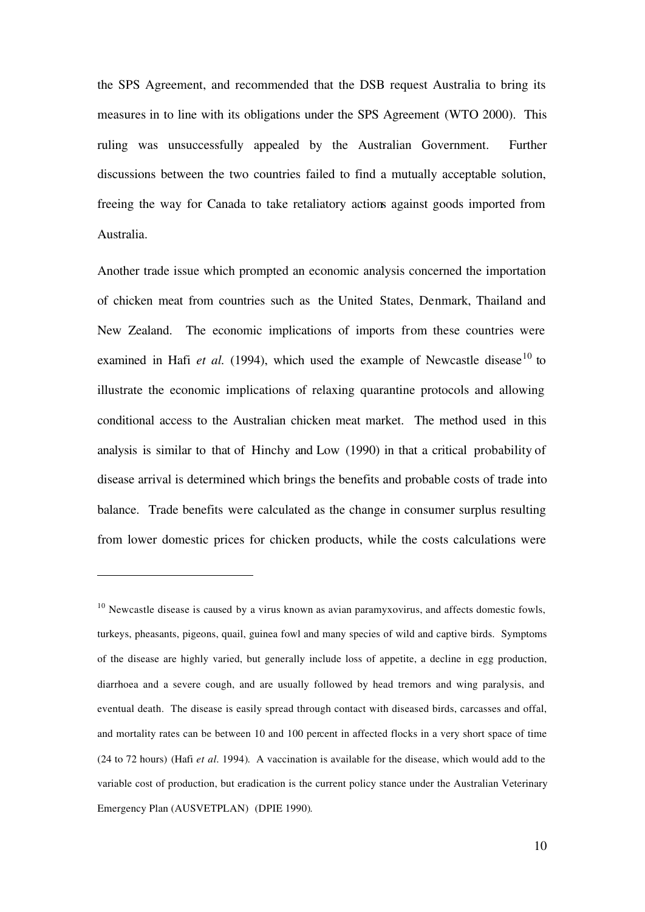the SPS Agreement, and recommended that the DSB request Australia to bring its measures in to line with its obligations under the SPS Agreement (WTO 2000). This ruling was unsuccessfully appealed by the Australian Government. Further discussions between the two countries failed to find a mutually acceptable solution, freeing the way for Canada to take retaliatory actions against goods imported from Australia.

Another trade issue which prompted an economic analysis concerned the importation of chicken meat from countries such as the United States, Denmark, Thailand and New Zealand. The economic implications of imports from these countries were examined in Hafi *et al.* (1994), which used the example of Newcastle disease<sup>10</sup> to illustrate the economic implications of relaxing quarantine protocols and allowing conditional access to the Australian chicken meat market. The method used in this analysis is similar to that of Hinchy and Low (1990) in that a critical probability of disease arrival is determined which brings the benefits and probable costs of trade into balance. Trade benefits were calculated as the change in consumer surplus resulting from lower domestic prices for chicken products, while the costs calculations were

 $10$  Newcastle disease is caused by a virus known as avian paramyxovirus, and affects domestic fowls, turkeys, pheasants, pigeons, quail, guinea fowl and many species of wild and captive birds. Symptoms of the disease are highly varied, but generally include loss of appetite, a decline in egg production, diarrhoea and a severe cough, and are usually followed by head tremors and wing paralysis, and eventual death. The disease is easily spread through contact with diseased birds, carcasses and offal, and mortality rates can be between 10 and 100 percent in affected flocks in a very short space of time (24 to 72 hours) (Hafi *et al.* 1994). A vaccination is available for the disease, which would add to the variable cost of production, but eradication is the current policy stance under the Australian Veterinary Emergency Plan (AUSVETPLAN) (DPIE 1990).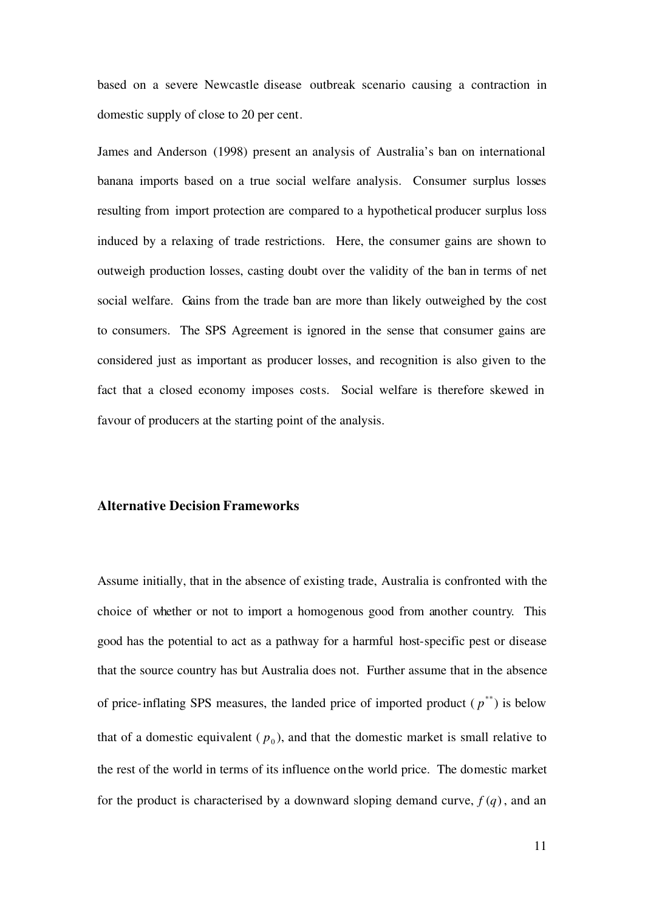based on a severe Newcastle disease outbreak scenario causing a contraction in domestic supply of close to 20 per cent.

James and Anderson (1998) present an analysis of Australia's ban on international banana imports based on a true social welfare analysis. Consumer surplus losses resulting from import protection are compared to a hypothetical producer surplus loss induced by a relaxing of trade restrictions. Here, the consumer gains are shown to outweigh production losses, casting doubt over the validity of the ban in terms of net social welfare. Gains from the trade ban are more than likely outweighed by the cost to consumers. The SPS Agreement is ignored in the sense that consumer gains are considered just as important as producer losses, and recognition is also given to the fact that a closed economy imposes costs. Social welfare is therefore skewed in favour of producers at the starting point of the analysis.

### **Alternative Decision Frameworks**

Assume initially, that in the absence of existing trade, Australia is confronted with the choice of whether or not to import a homogenous good from another country. This good has the potential to act as a pathway for a harmful host-specific pest or disease that the source country has but Australia does not. Further assume that in the absence of price-inflating SPS measures, the landed price of imported product  $(p^{**})$  is below that of a domestic equivalent  $(p_0)$ , and that the domestic market is small relative to the rest of the world in terms of its influence onthe world price. The domestic market for the product is characterised by a downward sloping demand curve,  $f(q)$ , and an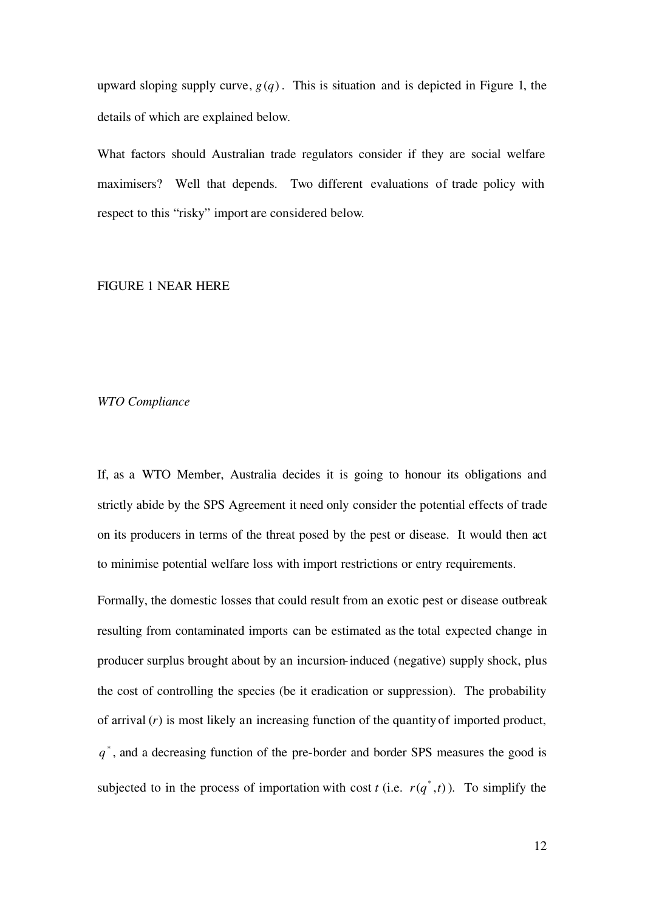upward sloping supply curve,  $g(q)$ . This is situation and is depicted in Figure 1, the details of which are explained below.

What factors should Australian trade regulators consider if they are social welfare maximisers? Well that depends. Two different evaluations of trade policy with respect to this "risky" import are considered below.

### FIGURE 1 NEAR HERE

### *WTO Compliance*

If, as a WTO Member, Australia decides it is going to honour its obligations and strictly abide by the SPS Agreement it need only consider the potential effects of trade on its producers in terms of the threat posed by the pest or disease. It would then act to minimise potential welfare loss with import restrictions or entry requirements.

Formally, the domestic losses that could result from an exotic pest or disease outbreak resulting from contaminated imports can be estimated as the total expected change in producer surplus brought about by an incursion-induced (negative) supply shock, plus the cost of controlling the species (be it eradication or suppression). The probability of arrival (*r*) is most likely an increasing function of the quantity of imported product,  $q^*$ , and a decreasing function of the pre-border and border SPS measures the good is subjected to in the process of importation with cost *t* (i.e.  $r(q^*, t)$ ). To simplify the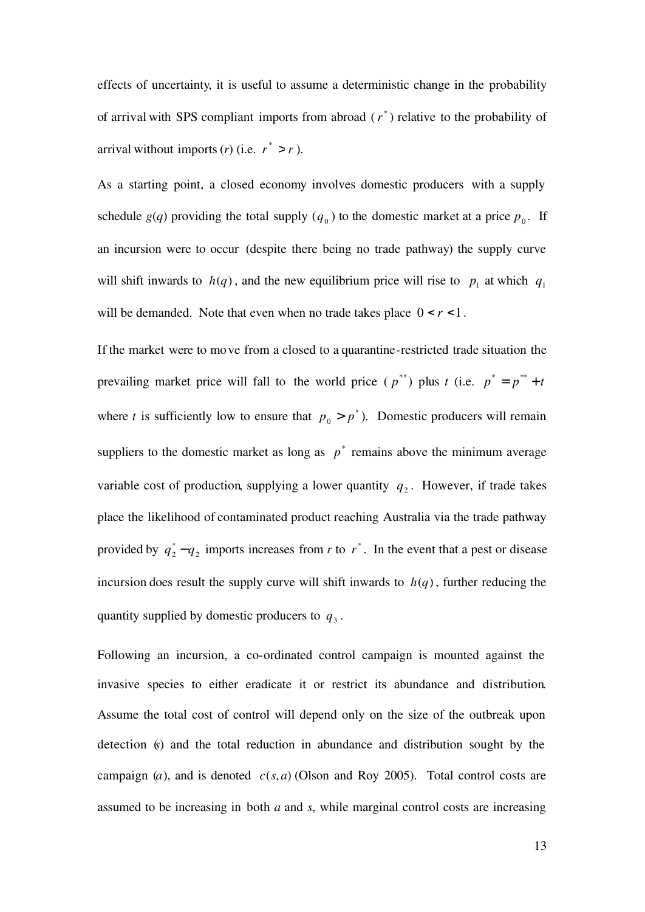effects of uncertainty, it is useful to assume a deterministic change in the probability of arrival with SPS compliant imports from abroad  $(r^*)$  relative to the probability of arrival without imports (*r*) (i.e.  $r^* > r$ ).

As a starting point, a closed economy involves domestic producers with a supply schedule  $g(q)$  providing the total supply  $(q_0)$  to the domestic market at a price  $p_0$ . If an incursion were to occur (despite there being no trade pathway) the supply curve will shift inwards to  $h(q)$ , and the new equilibrium price will rise to  $p_1$  at which  $q_1$ will be demanded. Note that even when no trade takes place  $0 < r < 1$ .

If the market were to move from a closed to a quarantine-restricted trade situation the prevailing market price will fall to the world price  $(p^{**})$  plus *t* (i.e.  $p^* = p^{**} + t$ where *t* is sufficiently low to ensure that  $p_0 > p^*$ ). Domestic producers will remain suppliers to the domestic market as long as  $p^*$  remains above the minimum average variable cost of production, supplying a lower quantity  $q_2$ . However, if trade takes place the likelihood of contaminated product reaching Australia via the trade pathway provided by  $q_2^* - q_2$  imports increases from *r* to  $r^*$ . In the event that a pest or disease incursion does result the supply curve will shift inwards to  $h(q)$ , further reducing the quantity supplied by domestic producers to  $q_3$ .

Following an incursion, a co-ordinated control campaign is mounted against the invasive species to either eradicate it or restrict its abundance and distribution. Assume the total cost of control will depend only on the size of the outbreak upon detection (*s*) and the total reduction in abundance and distribution sought by the campaign (*a*), and is denoted  $c(s, a)$  (Olson and Roy 2005). Total control costs are assumed to be increasing in both *a* and *s*, while marginal control costs are increasing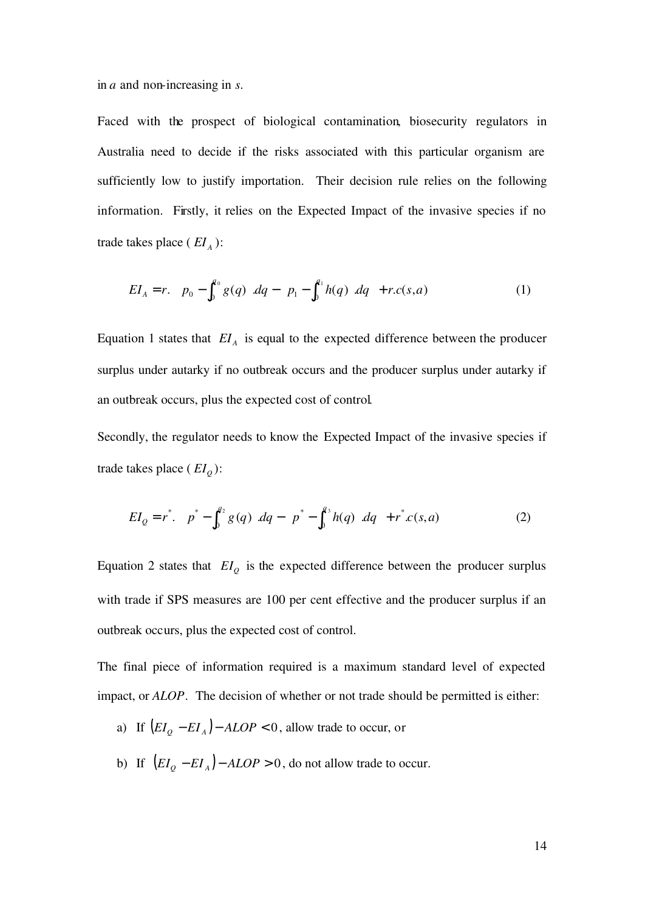in *a* and non-increasing in *s*.

Faced with the prospect of biological contamination, biosecurity regulators in Australia need to decide if the risks associated with this particular organism are sufficiently low to justify importation. Their decision rule relies on the following information. Firstly, it relies on the Expected Impact of the invasive species if no trade takes place ( *EI <sup>A</sup>* ):

$$
EI_A = r \left[ \left( p_0 - \int_0^{q_0} g(q) \right) dq - \left( p_1 - \int_0^{q_1} h(q) \right) dq \right] + r.c(s,a)
$$
 (1)

Equation 1 states that  $EI_A$  is equal to the expected difference between the producer surplus under autarky if no outbreak occurs and the producer surplus under autarky if an outbreak occurs, plus the expected cost of control.

Secondly, the regulator needs to know the Expected Impact of the invasive species if trade takes place ( *EI<sup>Q</sup>* ):

$$
EI_{Q} = r^{*} \left[ \left( p^{*} - \int_{0}^{q_{2}} g(q) \right) dq - \left( p^{*} - \int_{0}^{q_{3}} h(q) \right) dq \right] + r^{*} . c(s, a)
$$
 (2)

Equation 2 states that  $EI_{Q}$  is the expected difference between the producer surplus with trade if SPS measures are 100 per cent effective and the producer surplus if an outbreak occurs, plus the expected cost of control.

The final piece of information required is a maximum standard level of expected impact, or *ALOP*. The decision of whether or not trade should be permitted is either:

- a) If  $(EI_Q EI_A) ALOP < 0$ , allow trade to occur, or
- b) If  $(EI_Q EI_A) ALOP > 0$ , do not allow trade to occur.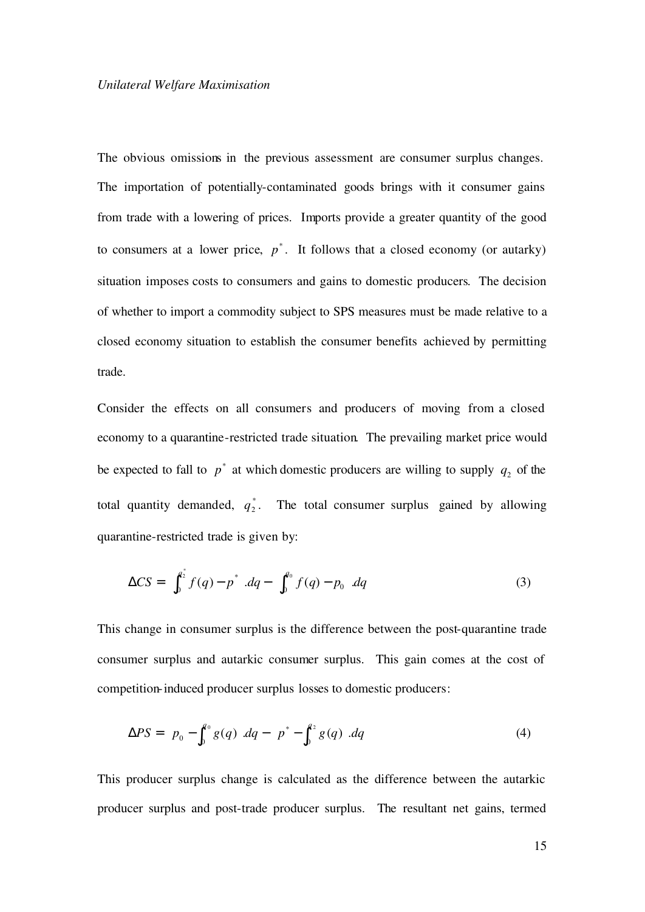The obvious omissions in the previous assessment are consumer surplus changes. The importation of potentially-contaminated goods brings with it consumer gains from trade with a lowering of prices. Imports provide a greater quantity of the good to consumers at a lower price,  $p^*$ . It follows that a closed economy (or autarky) situation imposes costs to consumers and gains to domestic producers. The decision of whether to import a commodity subject to SPS measures must be made relative to a closed economy situation to establish the consumer benefits achieved by permitting trade.

Consider the effects on all consumers and producers of moving from a closed economy to a quarantine-restricted trade situation. The prevailing market price would be expected to fall to  $p^*$  at which domestic producers are willing to supply  $q_2$  of the total quantity demanded,  $q_2^*$ . The total consumer surplus gained by allowing quarantine-restricted trade is given by:

$$
\Delta CS = \left(\int_0^{q_2} f(q) - p^* \right) dq - \left(\int_0^{q_0} f(q) - p_0 \right) dq \tag{3}
$$

This change in consumer surplus is the difference between the post-quarantine trade consumer surplus and autarkic consumer surplus. This gain comes at the cost of competition-induced producer surplus losses to domestic producers:

$$
\Delta PS = \left(p_0 - \int_0^{q_0} g(q)\right) dq - \left(p^* - \int_0^{q_2} g(q)\right) dq \tag{4}
$$

This producer surplus change is calculated as the difference between the autarkic producer surplus and post-trade producer surplus. The resultant net gains, termed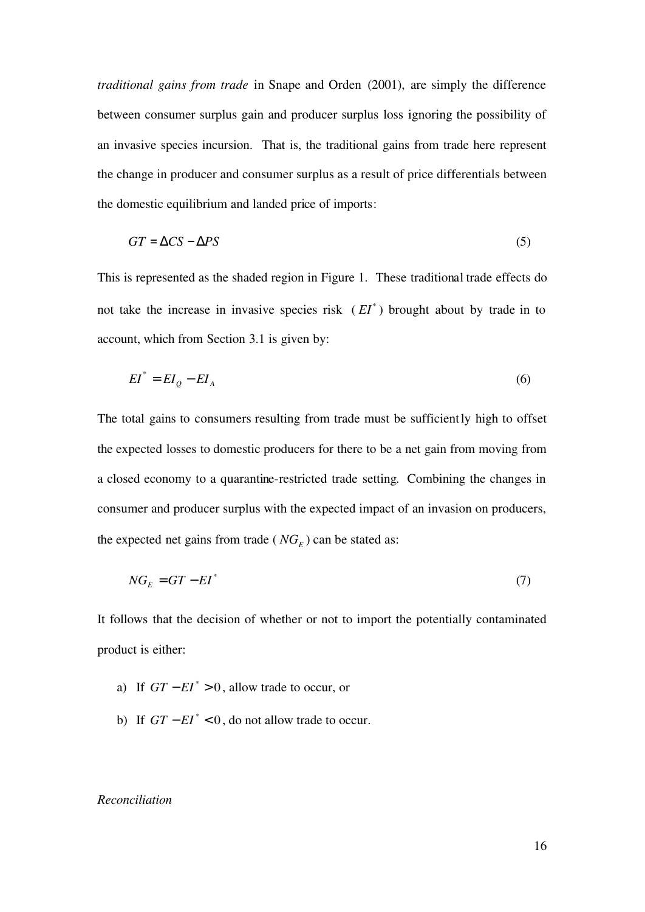*traditional gains from trade* in Snape and Orden (2001), are simply the difference between consumer surplus gain and producer surplus loss ignoring the possibility of an invasive species incursion. That is, the traditional gains from trade here represent the change in producer and consumer surplus as a result of price differentials between the domestic equilibrium and landed price of imports:

$$
GT = \Delta CS - \Delta PS \tag{5}
$$

This is represented as the shaded region in Figure 1. These traditional trade effects do not take the increase in invasive species risk  $(EI^*)$  brought about by trade in to account, which from Section 3.1 is given by:

$$
EI^* = EI_Q - EI_A \tag{6}
$$

The total gains to consumers resulting from trade must be sufficiently high to offset the expected losses to domestic producers for there to be a net gain from moving from a closed economy to a quarantine-restricted trade setting. Combining the changes in consumer and producer surplus with the expected impact of an invasion on producers, the expected net gains from trade  $(NG_E)$  can be stated as:

$$
NG_E = GT - EI^* \tag{7}
$$

It follows that the decision of whether or not to import the potentially contaminated product is either:

- a) If  $GT EI^* > 0$ , allow trade to occur, or
- b) If  $GT EI^* < 0$ , do not allow trade to occur.

#### *Reconciliation*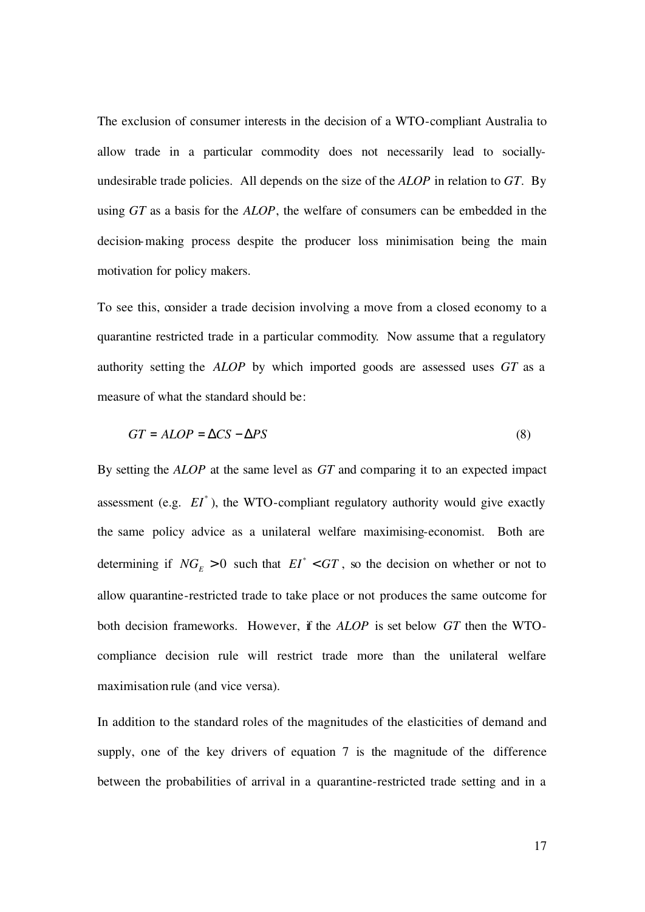The exclusion of consumer interests in the decision of a WTO-compliant Australia to allow trade in a particular commodity does not necessarily lead to sociallyundesirable trade policies. All depends on the size of the *ALOP* in relation to *GT*. By using *GT* as a basis for the *ALOP*, the welfare of consumers can be embedded in the decision-making process despite the producer loss minimisation being the main motivation for policy makers.

To see this, consider a trade decision involving a move from a closed economy to a quarantine restricted trade in a particular commodity. Now assume that a regulatory authority setting the *ALOP* by which imported goods are assessed uses *GT* as a measure of what the standard should be:

$$
GT = ALOP = \Delta CS - \Delta PS \tag{8}
$$

By setting the *ALOP* at the same level as *GT* and comparing it to an expected impact assessment (e.g.  $EI^*$ ), the WTO-compliant regulatory authority would give exactly the same policy advice as a unilateral welfare maximising-economist. Both are determining if  $NG_E > 0$  such that  $EI^* < GT$ , so the decision on whether or not to allow quarantine-restricted trade to take place or not produces the same outcome for both decision frameworks. However, if the *ALOP* is set below *GT* then the WTOcompliance decision rule will restrict trade more than the unilateral welfare maximisation rule (and vice versa).

In addition to the standard roles of the magnitudes of the elasticities of demand and supply, one of the key drivers of equation 7 is the magnitude of the difference between the probabilities of arrival in a quarantine-restricted trade setting and in a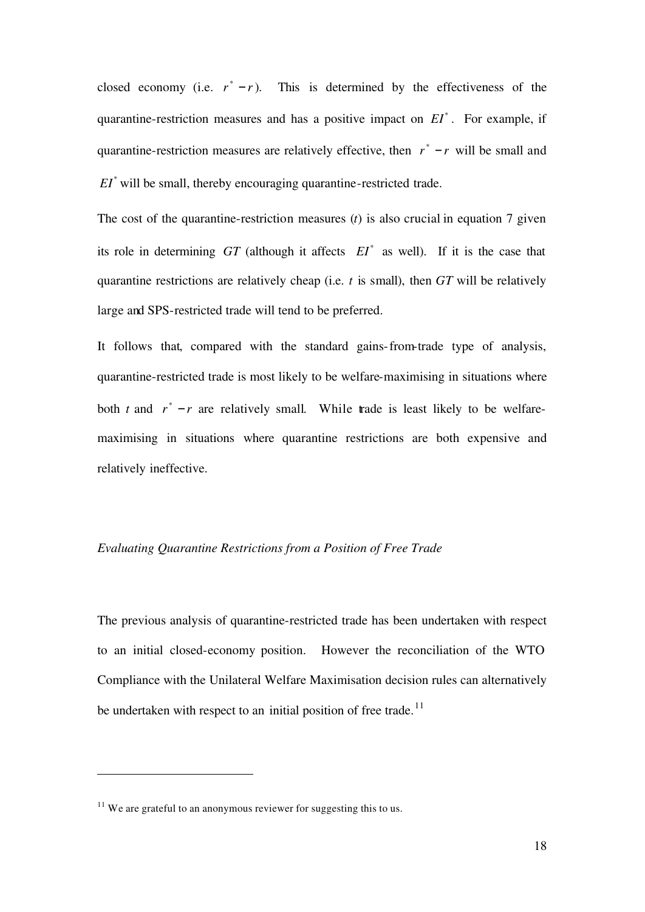closed economy (i.e.  $r^* - r$ ). This is determined by the effectiveness of the quarantine-restriction measures and has a positive impact on  $EI^*$ . For example, if quarantine-restriction measures are relatively effective, then  $r^* - r$  will be small and  $EI^*$  will be small, thereby encouraging quarantine-restricted trade.

The cost of the quarantine-restriction measures (*t*) is also crucial in equation 7 given its role in determining  $GT$  (although it affects  $EI^*$  as well). If it is the case that quarantine restrictions are relatively cheap (i.e. *t* is small), then *GT* will be relatively large and SPS-restricted trade will tend to be preferred.

It follows that, compared with the standard gains-from-trade type of analysis, quarantine-restricted trade is most likely to be welfare-maximising in situations where both *t* and  $r^* - r$  are relatively small. While trade is least likely to be welfaremaximising in situations where quarantine restrictions are both expensive and relatively ineffective.

### *Evaluating Quarantine Restrictions from a Position of Free Trade*

The previous analysis of quarantine-restricted trade has been undertaken with respect to an initial closed-economy position. However the reconciliation of the WTO Compliance with the Unilateral Welfare Maximisation decision rules can alternatively be undertaken with respect to an initial position of free trade.<sup>11</sup>

 $11$  We are grateful to an anonymous reviewer for suggesting this to us.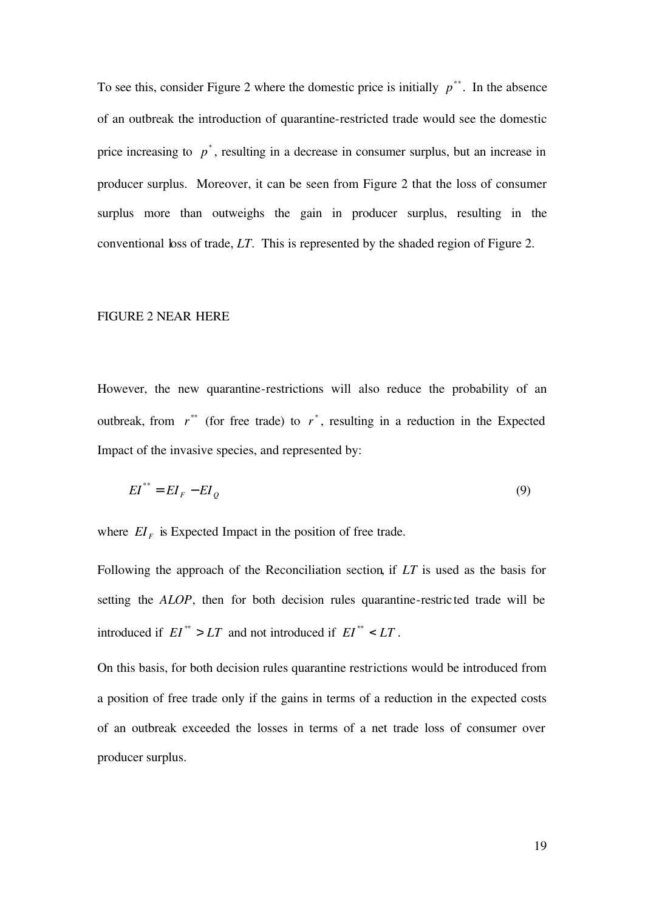To see this, consider Figure 2 where the domestic price is initially  $p^{**}$ . In the absence of an outbreak the introduction of quarantine-restricted trade would see the domestic price increasing to  $p^*$ , resulting in a decrease in consumer surplus, but an increase in producer surplus. Moreover, it can be seen from Figure 2 that the loss of consumer surplus more than outweighs the gain in producer surplus, resulting in the conventional loss of trade, *LT*. This is represented by the shaded region of Figure 2.

### FIGURE 2 NEAR HERE

However, the new quarantine-restrictions will also reduce the probability of an outbreak, from  $r^*$  (for free trade) to  $r^*$ , resulting in a reduction in the Expected Impact of the invasive species, and represented by:

$$
EI^{**} = EI_F - EI_Q \tag{9}
$$

where  $EI_F$  is Expected Impact in the position of free trade.

Following the approach of the Reconciliation section, if *LT* is used as the basis for setting the *ALOP*, then for both decision rules quarantine-restricted trade will be introduced if  $EI^{**} > LT$  and not introduced if  $EI^{**} < LT$ .

On this basis, for both decision rules quarantine restrictions would be introduced from a position of free trade only if the gains in terms of a reduction in the expected costs of an outbreak exceeded the losses in terms of a net trade loss of consumer over producer surplus.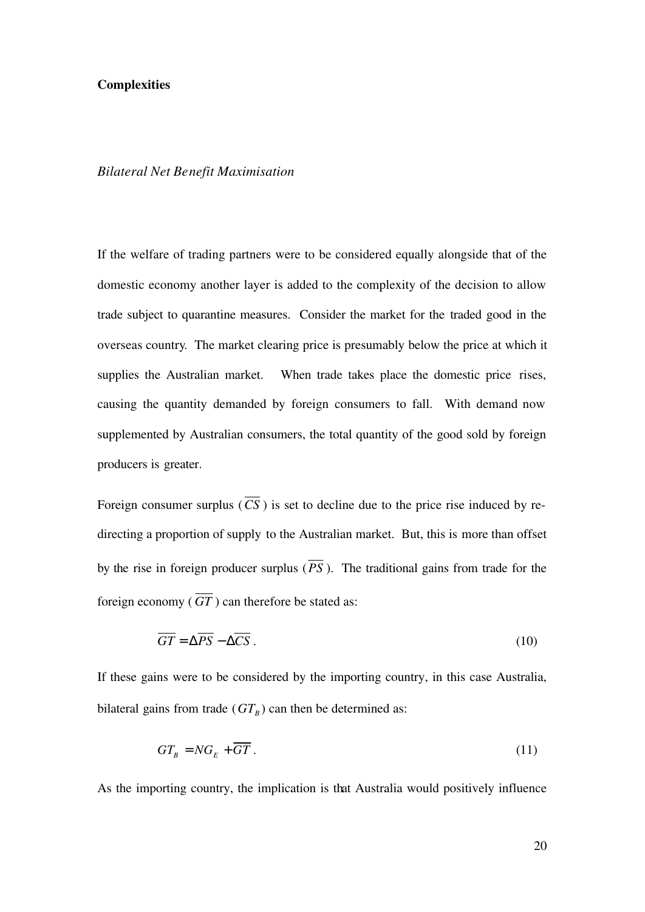#### **Complexities**

### *Bilateral Net Benefit Maximisation*

If the welfare of trading partners were to be considered equally alongside that of the domestic economy another layer is added to the complexity of the decision to allow trade subject to quarantine measures. Consider the market for the traded good in the overseas country. The market clearing price is presumably below the price at which it supplies the Australian market. When trade takes place the domestic price rises, causing the quantity demanded by foreign consumers to fall. With demand now supplemented by Australian consumers, the total quantity of the good sold by foreign producers is greater.

Foreign consumer surplus ( $\overline{CS}$ ) is set to decline due to the price rise induced by redirecting a proportion of supply to the Australian market. But, this is more than offset by the rise in foreign producer surplus  $(\overline{PS})$ . The traditional gains from trade for the foreign economy ( $\overline{GT}$ ) can therefore be stated as:

$$
\overline{GT} = \Delta \overline{PS} - \Delta \overline{CS} \tag{10}
$$

If these gains were to be considered by the importing country, in this case Australia, bilateral gains from trade  $(GT_B)$  can then be determined as:

$$
GT_{B} = NG_{E} + \overline{GT} \tag{11}
$$

As the importing country, the implication is that Australia would positively influence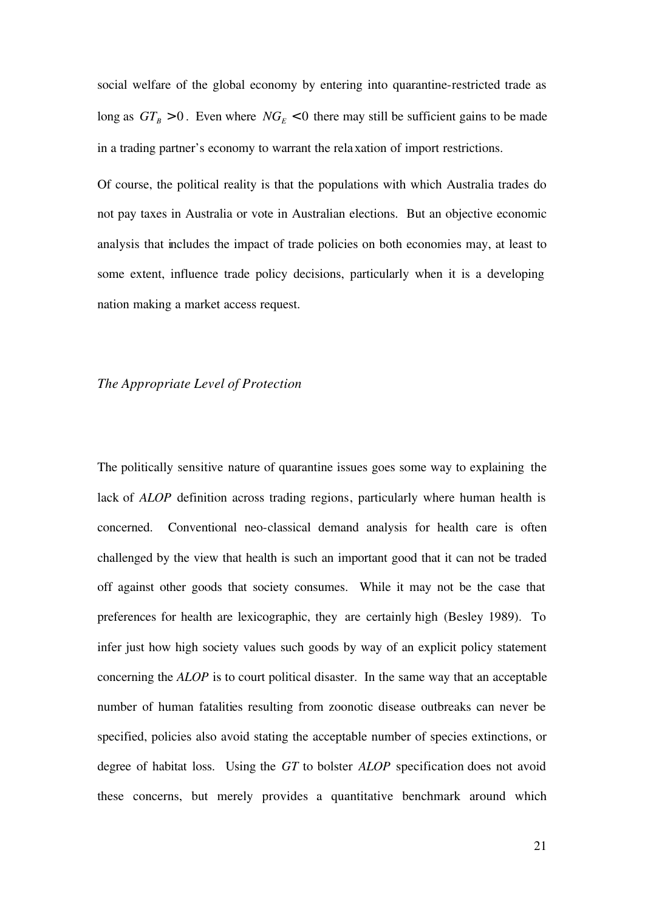social welfare of the global economy by entering into quarantine-restricted trade as long as  $GT_B > 0$ . Even where  $NG_E < 0$  there may still be sufficient gains to be made in a trading partner's economy to warrant the relaxation of import restrictions.

Of course, the political reality is that the populations with which Australia trades do not pay taxes in Australia or vote in Australian elections. But an objective economic analysis that includes the impact of trade policies on both economies may, at least to some extent, influence trade policy decisions, particularly when it is a developing nation making a market access request.

### *The Appropriate Level of Protection*

The politically sensitive nature of quarantine issues goes some way to explaining the lack of *ALOP* definition across trading regions, particularly where human health is concerned. Conventional neo-classical demand analysis for health care is often challenged by the view that health is such an important good that it can not be traded off against other goods that society consumes. While it may not be the case that preferences for health are lexicographic, they are certainly high (Besley 1989). To infer just how high society values such goods by way of an explicit policy statement concerning the *ALOP* is to court political disaster. In the same way that an acceptable number of human fatalities resulting from zoonotic disease outbreaks can never be specified, policies also avoid stating the acceptable number of species extinctions, or degree of habitat loss. Using the *GT* to bolster *ALOP* specification does not avoid these concerns, but merely provides a quantitative benchmark around which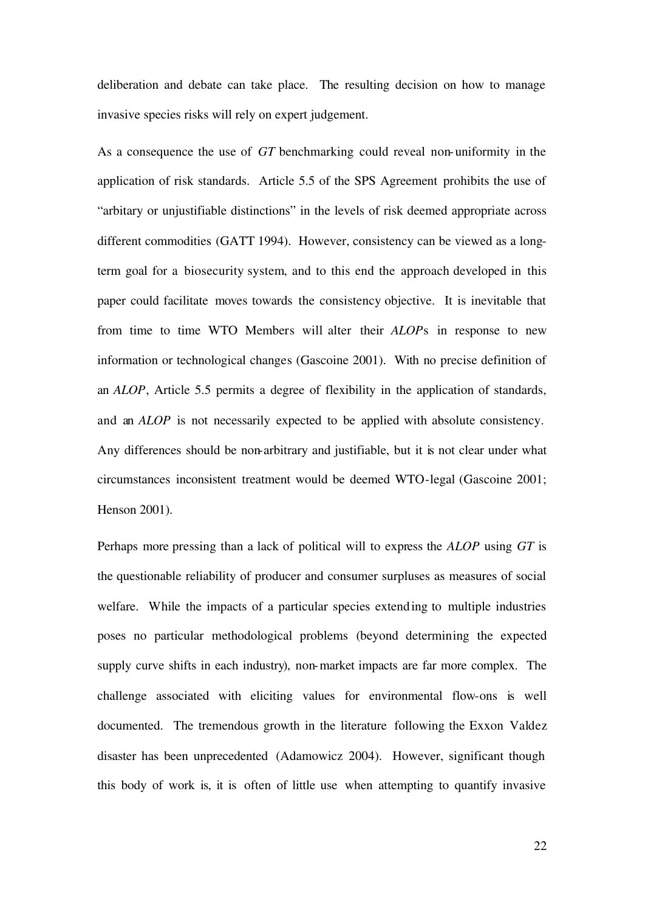deliberation and debate can take place. The resulting decision on how to manage invasive species risks will rely on expert judgement.

As a consequence the use of *GT* benchmarking could reveal non-uniformity in the application of risk standards. Article 5.5 of the SPS Agreement prohibits the use of "arbitary or unjustifiable distinctions" in the levels of risk deemed appropriate across different commodities (GATT 1994). However, consistency can be viewed as a longterm goal for a biosecurity system, and to this end the approach developed in this paper could facilitate moves towards the consistency objective. It is inevitable that from time to time WTO Members will alter their *ALOP*s in response to new information or technological changes (Gascoine 2001). With no precise definition of an *ALOP*, Article 5.5 permits a degree of flexibility in the application of standards, and an *ALOP* is not necessarily expected to be applied with absolute consistency. Any differences should be non-arbitrary and justifiable, but it is not clear under what circumstances inconsistent treatment would be deemed WTO-legal (Gascoine 2001; Henson 2001).

Perhaps more pressing than a lack of political will to express the *ALOP* using *GT* is the questionable reliability of producer and consumer surpluses as measures of social welfare. While the impacts of a particular species extending to multiple industries poses no particular methodological problems (beyond determining the expected supply curve shifts in each industry), non-market impacts are far more complex. The challenge associated with eliciting values for environmental flow-ons is well documented. The tremendous growth in the literature following the Exxon Valdez disaster has been unprecedented (Adamowicz 2004). However, significant though this body of work is, it is often of little use when attempting to quantify invasive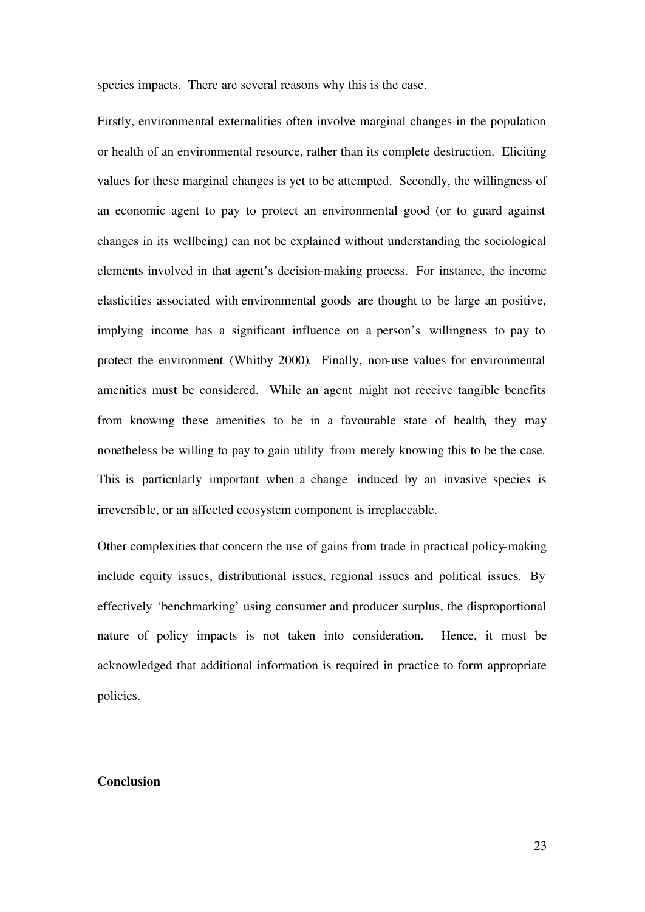species impacts. There are several reasons why this is the case.

Firstly, environmental externalities often involve marginal changes in the population or health of an environmental resource, rather than its complete destruction. Eliciting values for these marginal changes is yet to be attempted. Secondly, the willingness of an economic agent to pay to protect an environmental good (or to guard against changes in its wellbeing) can not be explained without understanding the sociological elements involved in that agent's decision-making process. For instance, the income elasticities associated with environmental goods are thought to be large an positive, implying income has a significant influence on a person's willingness to pay to protect the environment (Whitby 2000). Finally, non-use values for environmental amenities must be considered. While an agent might not receive tangible benefits from knowing these amenities to be in a favourable state of health, they may nonetheless be willing to pay to gain utility from merely knowing this to be the case. This is particularly important when a change induced by an invasive species is irreversible, or an affected ecosystem component is irreplaceable.

Other complexities that concern the use of gains from trade in practical policy-making include equity issues, distributional issues, regional issues and political issues. By effectively 'benchmarking' using consumer and producer surplus, the disproportional nature of policy impacts is not taken into consideration. Hence, it must be acknowledged that additional information is required in practice to form appropriate policies.

### **Conclusion**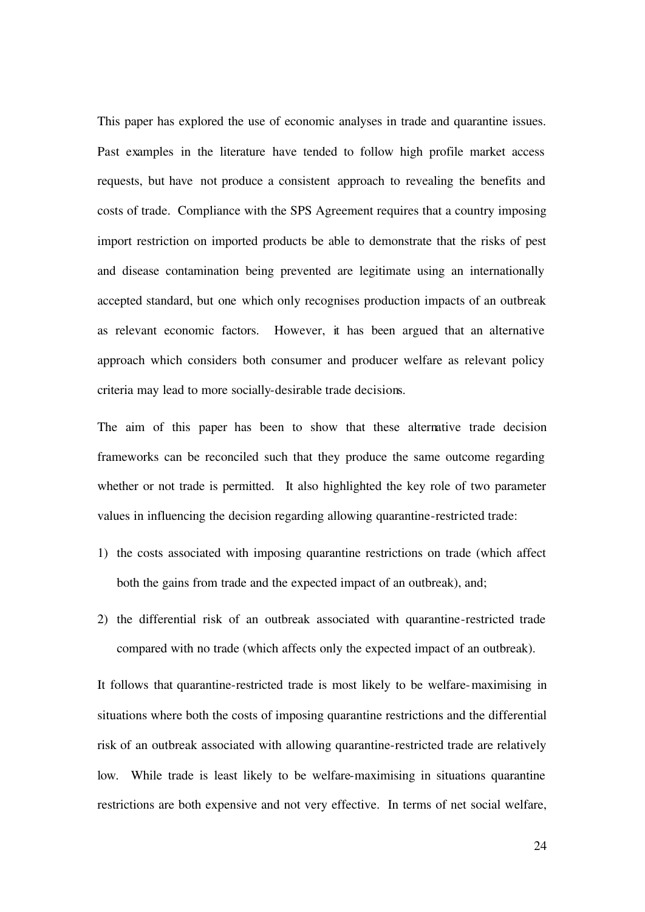This paper has explored the use of economic analyses in trade and quarantine issues. Past examples in the literature have tended to follow high profile market access requests, but have not produce a consistent approach to revealing the benefits and costs of trade. Compliance with the SPS Agreement requires that a country imposing import restriction on imported products be able to demonstrate that the risks of pest and disease contamination being prevented are legitimate using an internationally accepted standard, but one which only recognises production impacts of an outbreak as relevant economic factors. However, it has been argued that an alternative approach which considers both consumer and producer welfare as relevant policy criteria may lead to more socially-desirable trade decisions.

The aim of this paper has been to show that these alternative trade decision frameworks can be reconciled such that they produce the same outcome regarding whether or not trade is permitted. It also highlighted the key role of two parameter values in influencing the decision regarding allowing quarantine-restricted trade:

- 1) the costs associated with imposing quarantine restrictions on trade (which affect both the gains from trade and the expected impact of an outbreak), and;
- 2) the differential risk of an outbreak associated with quarantine-restricted trade compared with no trade (which affects only the expected impact of an outbreak).

It follows that quarantine-restricted trade is most likely to be welfare-maximising in situations where both the costs of imposing quarantine restrictions and the differential risk of an outbreak associated with allowing quarantine-restricted trade are relatively low. While trade is least likely to be welfare-maximising in situations quarantine restrictions are both expensive and not very effective. In terms of net social welfare,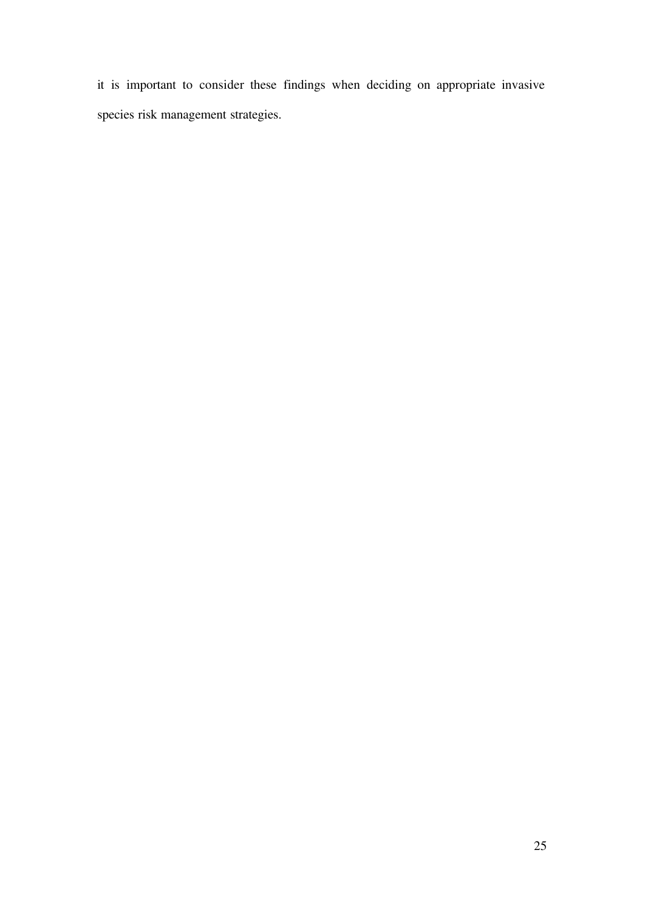it is important to consider these findings when deciding on appropriate invasive species risk management strategies.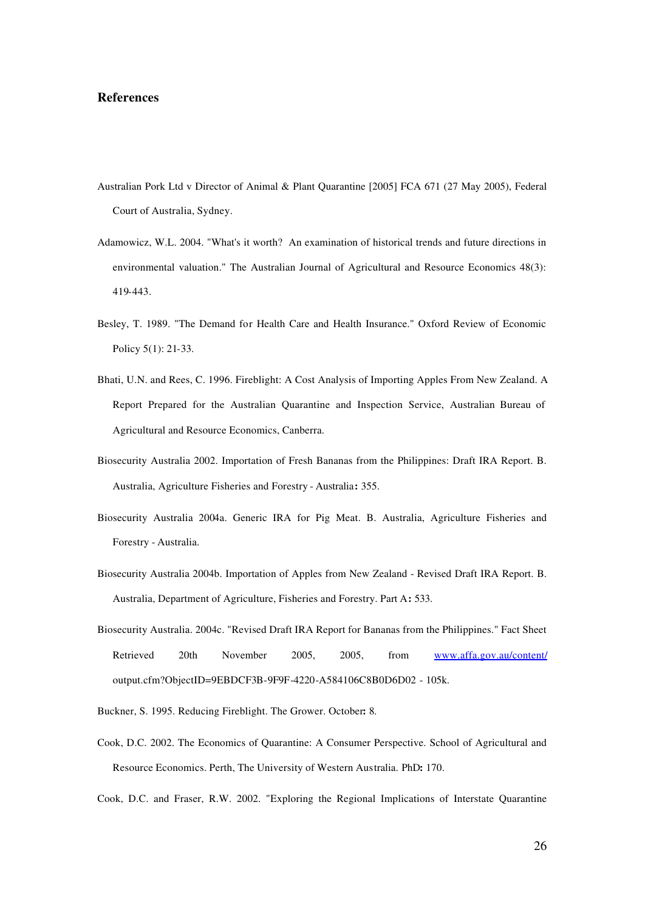#### **References**

- Australian Pork Ltd v Director of Animal & Plant Quarantine [2005] FCA 671 (27 May 2005), Federal Court of Australia, Sydney.
- Adamowicz, W.L. 2004. "What's it worth? An examination of historical trends and future directions in environmental valuation." The Australian Journal of Agricultural and Resource Economics 48(3): 419-443.
- Besley, T. 1989. "The Demand for Health Care and Health Insurance." Oxford Review of Economic Policy 5(1): 21-33.
- Bhati, U.N. and Rees, C. 1996. Fireblight: A Cost Analysis of Importing Apples From New Zealand. A Report Prepared for the Australian Quarantine and Inspection Service, Australian Bureau of Agricultural and Resource Economics, Canberra.
- Biosecurity Australia 2002. Importation of Fresh Bananas from the Philippines: Draft IRA Report. B. Australia, Agriculture Fisheries and Forestry - Australia**:** 355.
- Biosecurity Australia 2004a. Generic IRA for Pig Meat. B. Australia, Agriculture Fisheries and Forestry - Australia.
- Biosecurity Australia 2004b. Importation of Apples from New Zealand Revised Draft IRA Report. B. Australia, Department of Agriculture, Fisheries and Forestry. Part A**:** 533.
- Biosecurity Australia. 2004c. "Revised Draft IRA Report for Bananas from the Philippines." Fact Sheet Retrieved 20th November 2005, 2005, from www.affa.gov.au/content/ output.cfm?ObjectID=9EBDCF3B-9F9F-4220-A584106C8B0D6D02 - 105k.
- Buckner, S. 1995. Reducing Fireblight. The Grower. October**:** 8.
- Cook, D.C. 2002. The Economics of Quarantine: A Consumer Perspective. School of Agricultural and Resource Economics. Perth, The University of Western Australia. PhD**:** 170.

Cook, D.C. and Fraser, R.W. 2002. "Exploring the Regional Implications of Interstate Quarantine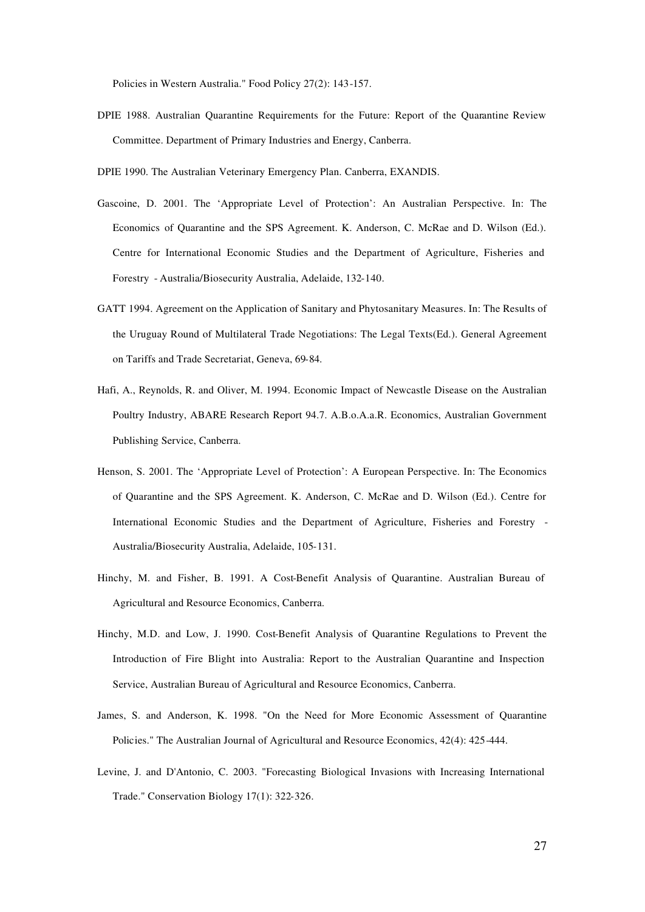Policies in Western Australia." Food Policy 27(2): 143-157.

- DPIE 1988. Australian Quarantine Requirements for the Future: Report of the Quarantine Review Committee. Department of Primary Industries and Energy, Canberra.
- DPIE 1990. The Australian Veterinary Emergency Plan. Canberra, EXANDIS.
- Gascoine, D. 2001. The 'Appropriate Level of Protection': An Australian Perspective. In: The Economics of Quarantine and the SPS Agreement. K. Anderson, C. McRae and D. Wilson (Ed.). Centre for International Economic Studies and the Department of Agriculture, Fisheries and Forestry - Australia/Biosecurity Australia, Adelaide, 132-140.
- GATT 1994. Agreement on the Application of Sanitary and Phytosanitary Measures. In: The Results of the Uruguay Round of Multilateral Trade Negotiations: The Legal Texts(Ed.). General Agreement on Tariffs and Trade Secretariat, Geneva, 69-84.
- Hafi, A., Reynolds, R. and Oliver, M. 1994. Economic Impact of Newcastle Disease on the Australian Poultry Industry, ABARE Research Report 94.7. A.B.o.A.a.R. Economics, Australian Government Publishing Service, Canberra.
- Henson, S. 2001. The 'Appropriate Level of Protection': A European Perspective. In: The Economics of Quarantine and the SPS Agreement. K. Anderson, C. McRae and D. Wilson (Ed.). Centre for International Economic Studies and the Department of Agriculture, Fisheries and Forestry - Australia/Biosecurity Australia, Adelaide, 105-131.
- Hinchy, M. and Fisher, B. 1991. A Cost-Benefit Analysis of Quarantine. Australian Bureau of Agricultural and Resource Economics, Canberra.
- Hinchy, M.D. and Low, J. 1990. Cost-Benefit Analysis of Quarantine Regulations to Prevent the Introduction of Fire Blight into Australia: Report to the Australian Quarantine and Inspection Service, Australian Bureau of Agricultural and Resource Economics, Canberra.
- James, S. and Anderson, K. 1998. "On the Need for More Economic Assessment of Quarantine Policies." The Australian Journal of Agricultural and Resource Economics, 42(4): 425-444.
- Levine, J. and D'Antonio, C. 2003. "Forecasting Biological Invasions with Increasing International Trade." Conservation Biology 17(1): 322-326.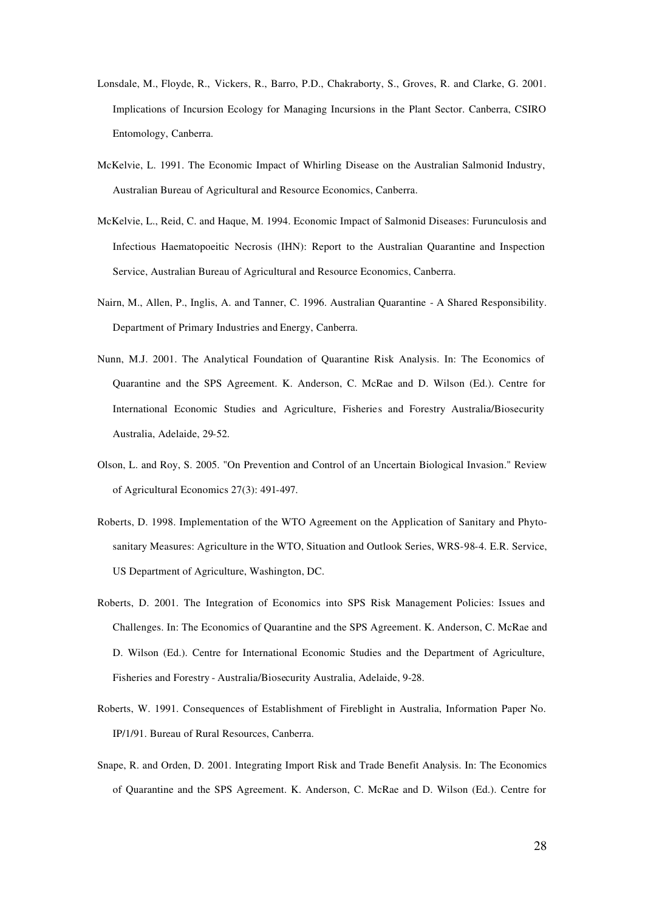- Lonsdale, M., Floyde, R., Vickers, R., Barro, P.D., Chakraborty, S., Groves, R. and Clarke, G. 2001. Implications of Incursion Ecology for Managing Incursions in the Plant Sector. Canberra, CSIRO Entomology, Canberra.
- McKelvie, L. 1991. The Economic Impact of Whirling Disease on the Australian Salmonid Industry, Australian Bureau of Agricultural and Resource Economics, Canberra.
- McKelvie, L., Reid, C. and Haque, M. 1994. Economic Impact of Salmonid Diseases: Furunculosis and Infectious Haematopoeitic Necrosis (IHN): Report to the Australian Quarantine and Inspection Service, Australian Bureau of Agricultural and Resource Economics, Canberra.
- Nairn, M., Allen, P., Inglis, A. and Tanner, C. 1996. Australian Quarantine A Shared Responsibility. Department of Primary Industries and Energy, Canberra.
- Nunn, M.J. 2001. The Analytical Foundation of Quarantine Risk Analysis. In: The Economics of Quarantine and the SPS Agreement. K. Anderson, C. McRae and D. Wilson (Ed.). Centre for International Economic Studies and Agriculture, Fisheries and Forestry Australia/Biosecurity Australia, Adelaide, 29-52.
- Olson, L. and Roy, S. 2005. "On Prevention and Control of an Uncertain Biological Invasion." Review of Agricultural Economics 27(3): 491-497.
- Roberts, D. 1998. Implementation of the WTO Agreement on the Application of Sanitary and Phytosanitary Measures: Agriculture in the WTO, Situation and Outlook Series, WRS-98-4. E.R. Service, US Department of Agriculture, Washington, DC.
- Roberts, D. 2001. The Integration of Economics into SPS Risk Management Policies: Issues and Challenges. In: The Economics of Quarantine and the SPS Agreement. K. Anderson, C. McRae and D. Wilson (Ed.). Centre for International Economic Studies and the Department of Agriculture, Fisheries and Forestry - Australia/Biosecurity Australia, Adelaide, 9-28.
- Roberts, W. 1991. Consequences of Establishment of Fireblight in Australia, Information Paper No. IP/1/91. Bureau of Rural Resources, Canberra.
- Snape, R. and Orden, D. 2001. Integrating Import Risk and Trade Benefit Analysis. In: The Economics of Quarantine and the SPS Agreement. K. Anderson, C. McRae and D. Wilson (Ed.). Centre for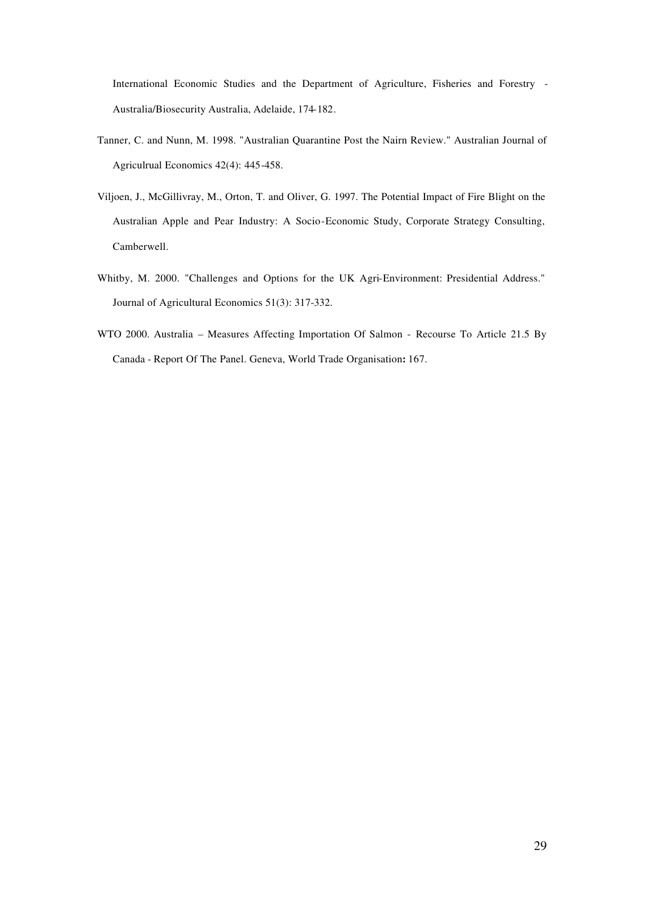International Economic Studies and the Department of Agriculture, Fisheries and Forestry - Australia/Biosecurity Australia, Adelaide, 174-182.

- Tanner, C. and Nunn, M. 1998. "Australian Quarantine Post the Nairn Review." Australian Journal of Agriculrual Economics 42(4): 445-458.
- Viljoen, J., McGillivray, M., Orton, T. and Oliver, G. 1997. The Potential Impact of Fire Blight on the Australian Apple and Pear Industry: A Socio-Economic Study, Corporate Strategy Consulting, Camberwell.
- Whitby, M. 2000. "Challenges and Options for the UK Agri-Environment: Presidential Address." Journal of Agricultural Economics 51(3): 317-332.
- WTO 2000. Australia Measures Affecting Importation Of Salmon Recourse To Article 21.5 By Canada - Report Of The Panel. Geneva, World Trade Organisation**:** 167.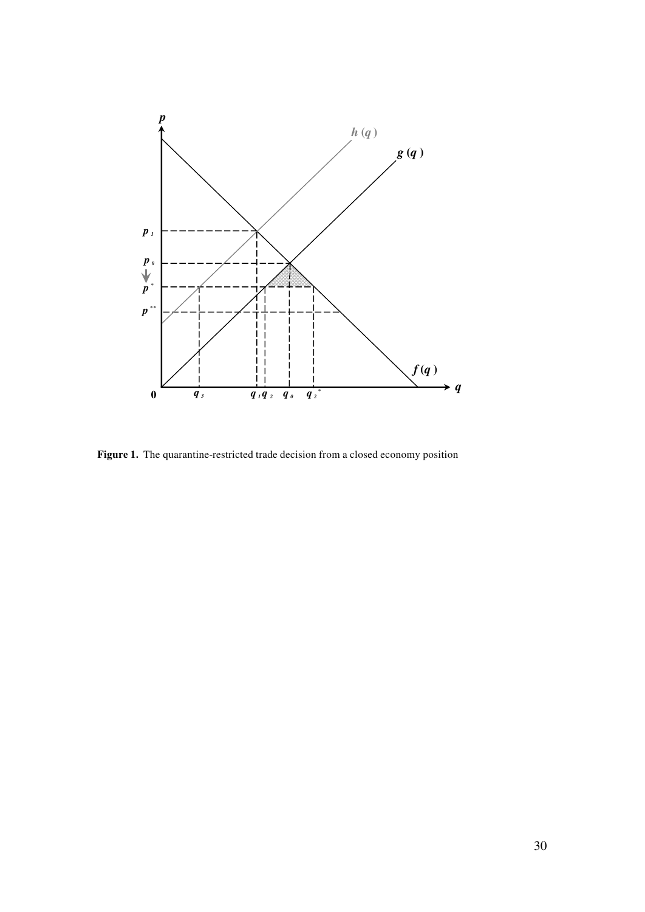

**Figure 1.** The quarantine-restricted trade decision from a closed economy position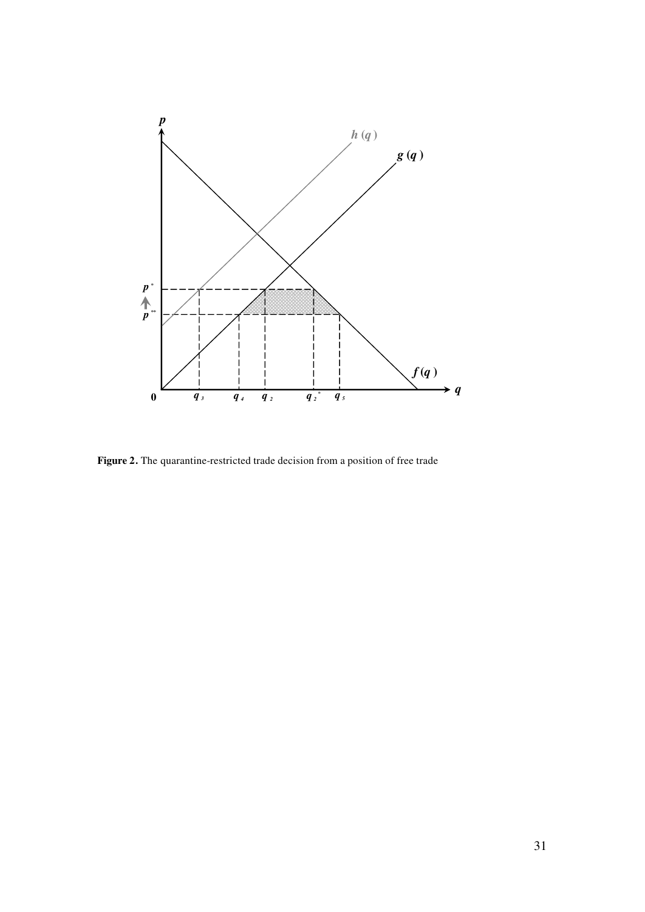

**Figure 2.** The quarantine-restricted trade decision from a position of free trade